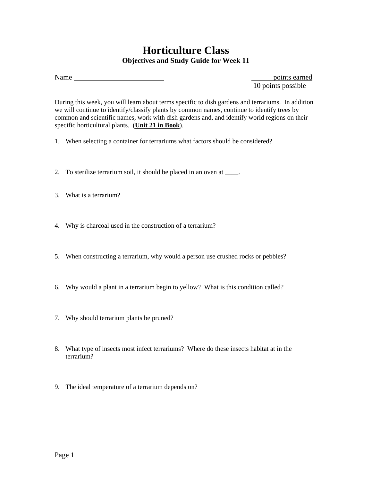## **Horticulture Class Objectives and Study Guide for Week 11**

Name points earned

10 points possible

During this week, you will learn about terms specific to dish gardens and terrariums. In addition we will continue to identify/classify plants by common names, continue to identify trees by common and scientific names, work with dish gardens and, and identify world regions on their specific horticultural plants. (**Unit 21 in Book**).

- 1. When selecting a container for terrariums what factors should be considered?
- 2. To sterilize terrarium soil, it should be placed in an oven at \_\_\_\_.
- 3. What is a terrarium?
- 4. Why is charcoal used in the construction of a terrarium?
- 5. When constructing a terrarium, why would a person use crushed rocks or pebbles?
- 6. Why would a plant in a terrarium begin to yellow? What is this condition called?
- 7. Why should terrarium plants be pruned?
- 8. What type of insects most infect terrariums? Where do these insects habitat at in the terrarium?
- 9. The ideal temperature of a terrarium depends on?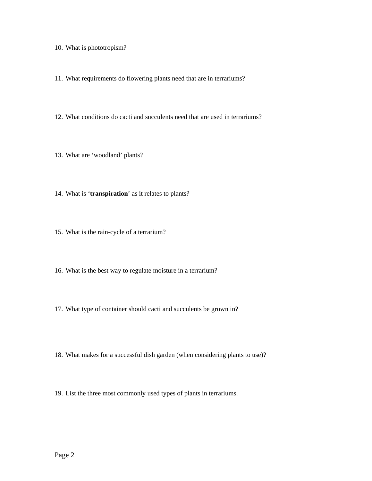10. What is phototropism?

11. What requirements do flowering plants need that are in terrariums?

12. What conditions do cacti and succulents need that are used in terrariums?

13. What are 'woodland' plants?

14. What is '**transpiration**' as it relates to plants?

15. What is the rain-cycle of a terrarium?

16. What is the best way to regulate moisture in a terrarium?

17. What type of container should cacti and succulents be grown in?

18. What makes for a successful dish garden (when considering plants to use)?

19. List the three most commonly used types of plants in terrariums.